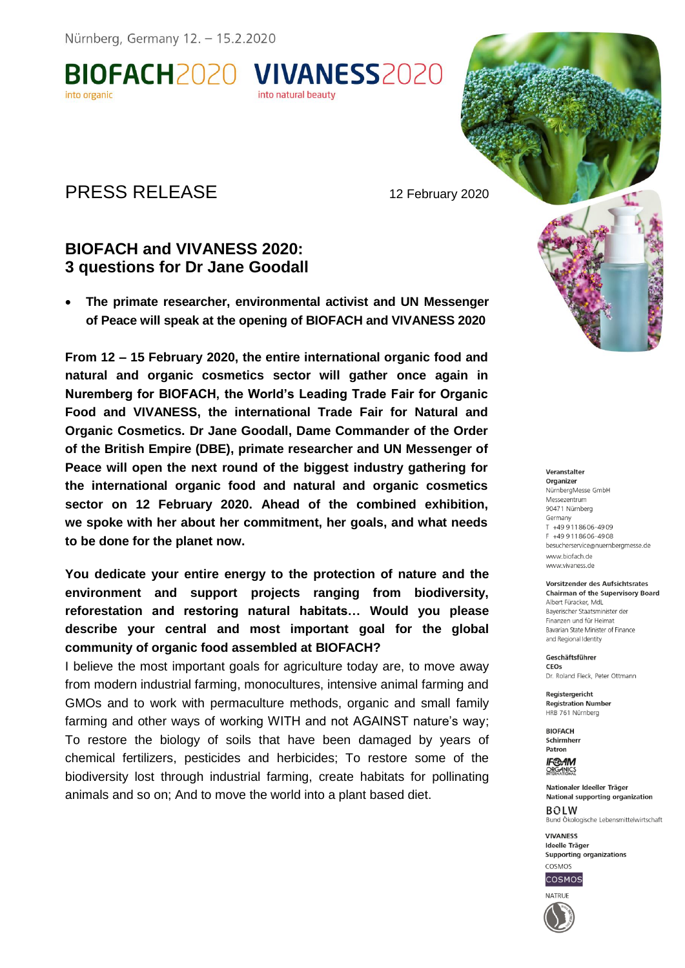BIOFACH2020 VIVANESS2020 into organic

# PRESS RELEASE 12 February 2020

## **BIOFACH and VIVANESS 2020: 3 questions for Dr Jane Goodall**

 **The primate researcher, environmental activist and UN Messenger of Peace will speak at the opening of BIOFACH and VIVANESS 2020**

into natural beauty

**From 12 – 15 February 2020, the entire international organic food and natural and organic cosmetics sector will gather once again in Nuremberg for BIOFACH, the World's Leading Trade Fair for Organic Food and VIVANESS, the international Trade Fair for Natural and Organic Cosmetics. Dr Jane Goodall, Dame Commander of the Order of the British Empire (DBE), primate researcher and UN Messenger of Peace will open the next round of the biggest industry gathering for the international organic food and natural and organic cosmetics sector on 12 February 2020. Ahead of the combined exhibition, we spoke with her about her commitment, her goals, and what needs to be done for the planet now.** 

**You dedicate your entire energy to the protection of nature and the environment and support projects ranging from biodiversity, reforestation and restoring natural habitats… Would you please describe your central and most important goal for the global community of organic food assembled at BIOFACH?**

I believe the most important goals for agriculture today are, to move away from modern industrial farming, monocultures, intensive animal farming and GMOs and to work with permaculture methods, organic and small family farming and other ways of working WITH and not AGAINST nature's way; To restore the biology of soils that have been damaged by years of chemical fertilizers, pesticides and herbicides; To restore some of the biodiversity lost through industrial farming, create habitats for pollinating animals and so on; And to move the world into a plant based diet.

### Veranstalter

Organizer NürnberaMesse GmbH Messezentrum 90471 Nürnberg Germany T +49 9 11 86 06 - 49 09 F +49 9 11 86 06 - 49 08 besucherservice@nuernbergmesse.de www.biofach.de www.vivaness.de

#### Vorsitzender des Aufsichtsrates **Chairman of the Supervisory Board**

Albert Füracker, MdL Baverischer Staatsminister der Finanzen und für Heimat Bavarian State Minister of Finance and Regional Identity

Geschäftsführer CEOS Dr. Roland Fleck, Peter Ottmann

Reaisteraericht **Registration Number** HRB 761 Nürnberg

**BIOFACH** Schirmherr Patron

**IF®AM ORGANICS** 

Nationaler Ideeller Träger **National supporting organization BOLW** Bund Ökologische Lebensmittelwirtschaft

**VIVANESS Ideelle Träger** Supporting organizations COSMOS



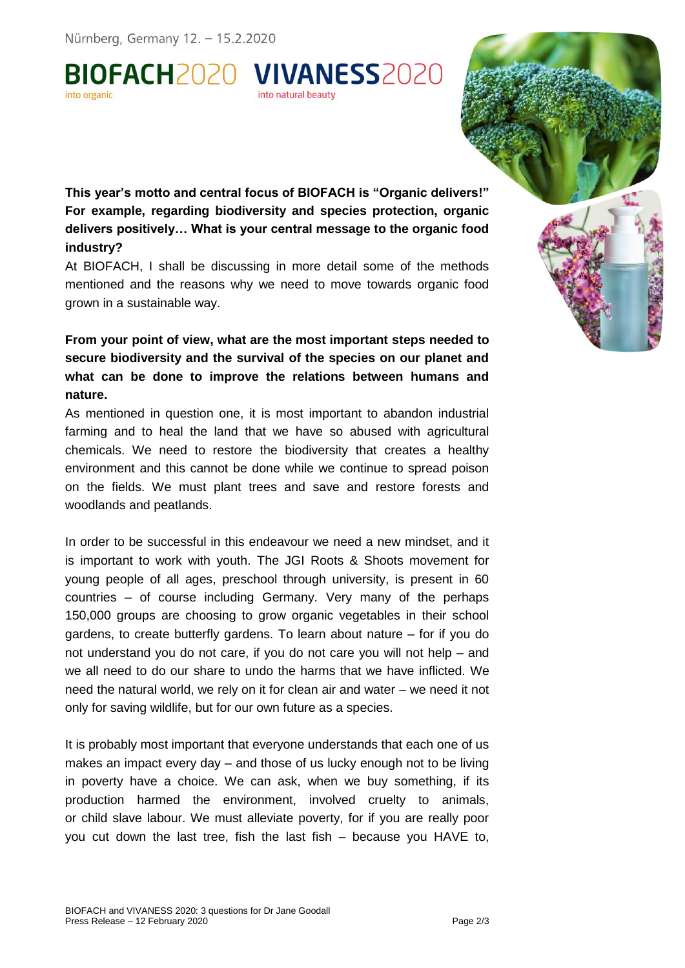BIOFACH2020 VIVANESS2020 into natural beauty

**This year's motto and central focus of BIOFACH is "Organic delivers!" For example, regarding biodiversity and species protection, organic delivers positively… What is your central message to the organic food industry?**

At BIOFACH, I shall be discussing in more detail some of the methods mentioned and the reasons why we need to move towards organic food grown in a sustainable way.

**From your point of view, what are the most important steps needed to secure biodiversity and the survival of the species on our planet and what can be done to improve the relations between humans and nature.**

As mentioned in question one, it is most important to abandon industrial farming and to heal the land that we have so abused with agricultural chemicals. We need to restore the biodiversity that creates a healthy environment and this cannot be done while we continue to spread poison on the fields. We must plant trees and save and restore forests and woodlands and peatlands.

In order to be successful in this endeavour we need a new mindset, and it is important to work with youth. The JGI Roots & Shoots movement for young people of all ages, preschool through university, is present in 60 countries – of course including Germany. Very many of the perhaps 150,000 groups are choosing to grow organic vegetables in their school gardens, to create butterfly gardens. To learn about nature – for if you do not understand you do not care, if you do not care you will not help – and we all need to do our share to undo the harms that we have inflicted. We need the natural world, we rely on it for clean air and water – we need it not only for saving wildlife, but for our own future as a species.

It is probably most important that everyone understands that each one of us makes an impact every day – and those of us lucky enough not to be living in poverty have a choice. We can ask, when we buy something, if its production harmed the environment, involved cruelty to animals, or child slave labour. We must alleviate poverty, for if you are really poor you cut down the last tree, fish the last fish – because you HAVE to,